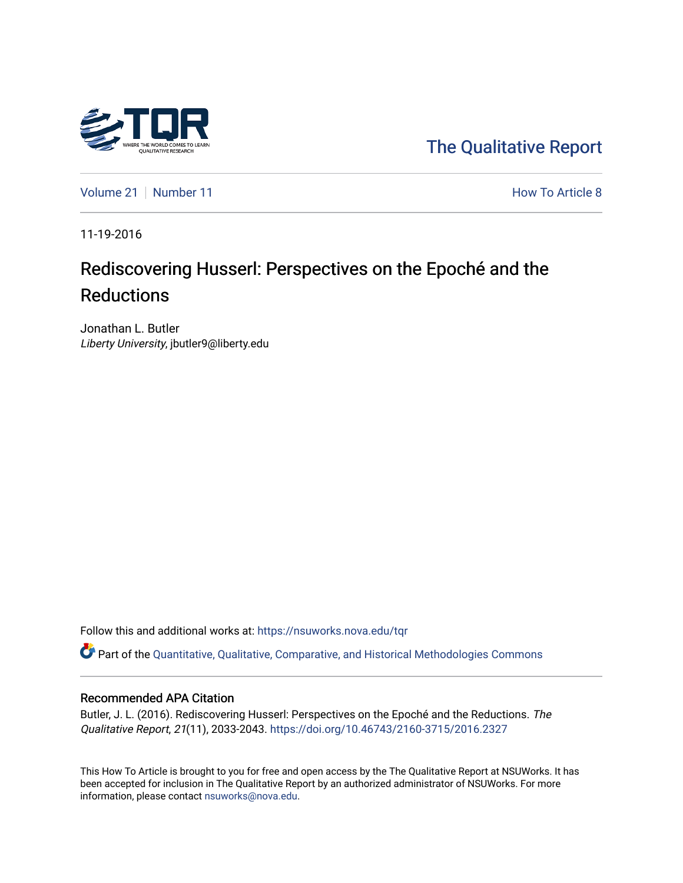

[The Qualitative Report](https://nsuworks.nova.edu/tqr) 

[Volume 21](https://nsuworks.nova.edu/tqr/vol21) [Number 11](https://nsuworks.nova.edu/tqr/vol21/iss11) **Number 11** Number 11 **How To Article 8** 

11-19-2016

# Rediscovering Husserl: Perspectives on the Epoché and the **Reductions**

Jonathan L. Butler Liberty University, jbutler9@liberty.edu

Follow this and additional works at: [https://nsuworks.nova.edu/tqr](https://nsuworks.nova.edu/tqr?utm_source=nsuworks.nova.edu%2Ftqr%2Fvol21%2Fiss11%2F8&utm_medium=PDF&utm_campaign=PDFCoverPages) 

Part of the [Quantitative, Qualitative, Comparative, and Historical Methodologies Commons](http://network.bepress.com/hgg/discipline/423?utm_source=nsuworks.nova.edu%2Ftqr%2Fvol21%2Fiss11%2F8&utm_medium=PDF&utm_campaign=PDFCoverPages) 

#### Recommended APA Citation

Butler, J. L. (2016). Rediscovering Husserl: Perspectives on the Epoché and the Reductions. The Qualitative Report, 21(11), 2033-2043.<https://doi.org/10.46743/2160-3715/2016.2327>

This How To Article is brought to you for free and open access by the The Qualitative Report at NSUWorks. It has been accepted for inclusion in The Qualitative Report by an authorized administrator of NSUWorks. For more information, please contact [nsuworks@nova.edu.](mailto:nsuworks@nova.edu)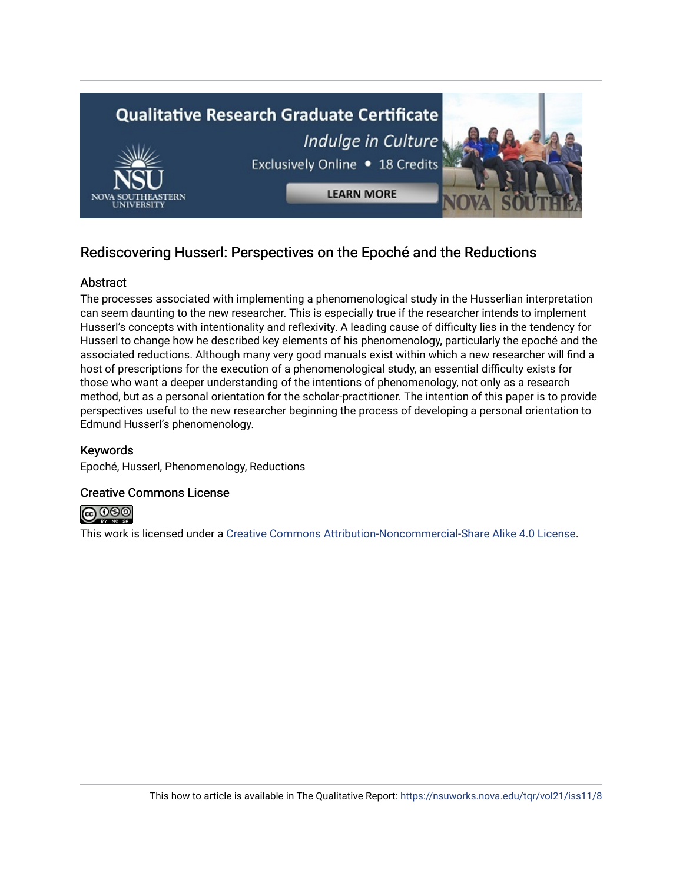

# Rediscovering Husserl: Perspectives on the Epoché and the Reductions

# Abstract

The processes associated with implementing a phenomenological study in the Husserlian interpretation can seem daunting to the new researcher. This is especially true if the researcher intends to implement Husserl's concepts with intentionality and reflexivity. A leading cause of difficulty lies in the tendency for Husserl to change how he described key elements of his phenomenology, particularly the epoché and the associated reductions. Although many very good manuals exist within which a new researcher will find a host of prescriptions for the execution of a phenomenological study, an essential difficulty exists for those who want a deeper understanding of the intentions of phenomenology, not only as a research method, but as a personal orientation for the scholar-practitioner. The intention of this paper is to provide perspectives useful to the new researcher beginning the process of developing a personal orientation to Edmund Husserl's phenomenology.

# Keywords

Epoché, Husserl, Phenomenology, Reductions

## Creative Commons License



This work is licensed under a [Creative Commons Attribution-Noncommercial-Share Alike 4.0 License](https://creativecommons.org/licenses/by-nc-sa/4.0/).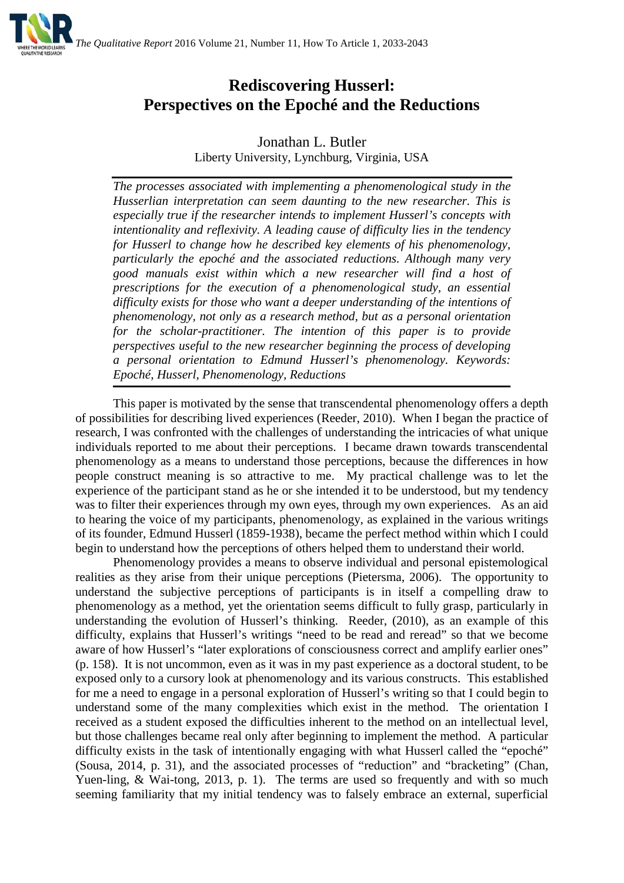

# **Rediscovering Husserl: Perspectives on the Epoché and the Reductions**

Jonathan L. Butler Liberty University, Lynchburg, Virginia, USA

*The processes associated with implementing a phenomenological study in the Husserlian interpretation can seem daunting to the new researcher. This is especially true if the researcher intends to implement Husserl's concepts with intentionality and reflexivity. A leading cause of difficulty lies in the tendency for Husserl to change how he described key elements of his phenomenology, particularly the epoché and the associated reductions. Although many very good manuals exist within which a new researcher will find a host of prescriptions for the execution of a phenomenological study, an essential difficulty exists for those who want a deeper understanding of the intentions of phenomenology, not only as a research method, but as a personal orientation for the scholar-practitioner. The intention of this paper is to provide perspectives useful to the new researcher beginning the process of developing a personal orientation to Edmund Husserl's phenomenology. Keywords: Epoché, Husserl, Phenomenology, Reductions*

This paper is motivated by the sense that transcendental phenomenology offers a depth of possibilities for describing lived experiences (Reeder, 2010). When I began the practice of research, I was confronted with the challenges of understanding the intricacies of what unique individuals reported to me about their perceptions. I became drawn towards transcendental phenomenology as a means to understand those perceptions, because the differences in how people construct meaning is so attractive to me. My practical challenge was to let the experience of the participant stand as he or she intended it to be understood, but my tendency was to filter their experiences through my own eyes, through my own experiences. As an aid to hearing the voice of my participants, phenomenology, as explained in the various writings of its founder, Edmund Husserl (1859-1938), became the perfect method within which I could begin to understand how the perceptions of others helped them to understand their world.

Phenomenology provides a means to observe individual and personal epistemological realities as they arise from their unique perceptions (Pietersma, 2006). The opportunity to understand the subjective perceptions of participants is in itself a compelling draw to phenomenology as a method, yet the orientation seems difficult to fully grasp, particularly in understanding the evolution of Husserl's thinking. Reeder, (2010), as an example of this difficulty, explains that Husserl's writings "need to be read and reread" so that we become aware of how Husserl's "later explorations of consciousness correct and amplify earlier ones" (p. 158). It is not uncommon, even as it was in my past experience as a doctoral student, to be exposed only to a cursory look at phenomenology and its various constructs. This established for me a need to engage in a personal exploration of Husserl's writing so that I could begin to understand some of the many complexities which exist in the method. The orientation I received as a student exposed the difficulties inherent to the method on an intellectual level, but those challenges became real only after beginning to implement the method. A particular difficulty exists in the task of intentionally engaging with what Husserl called the "epoché" (Sousa, 2014, p. 31), and the associated processes of "reduction" and "bracketing" (Chan, Yuen-ling, & Wai-tong, 2013, p. 1). The terms are used so frequently and with so much seeming familiarity that my initial tendency was to falsely embrace an external, superficial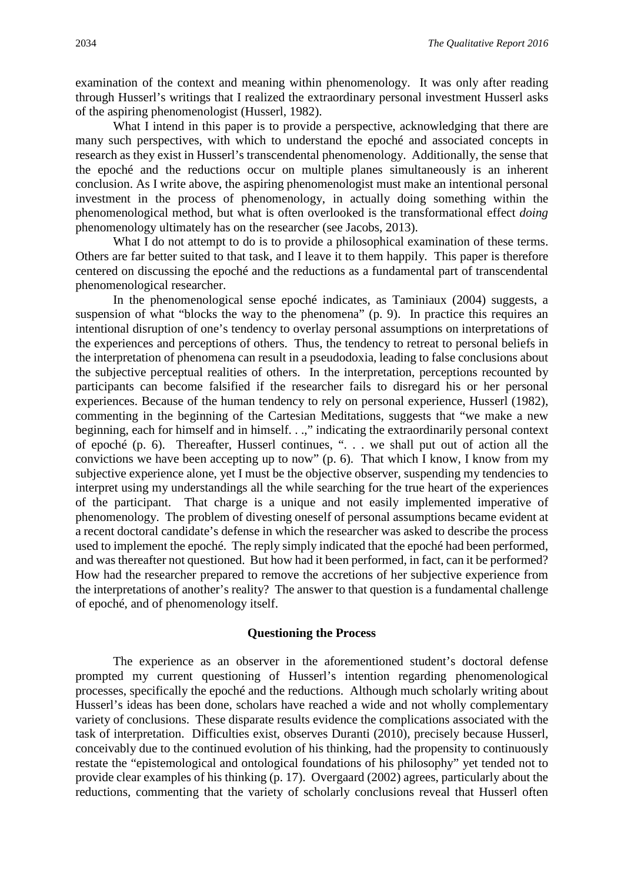examination of the context and meaning within phenomenology. It was only after reading through Husserl's writings that I realized the extraordinary personal investment Husserl asks of the aspiring phenomenologist (Husserl, 1982).

What I intend in this paper is to provide a perspective, acknowledging that there are many such perspectives, with which to understand the epoché and associated concepts in research as they exist in Husserl's transcendental phenomenology. Additionally, the sense that the epoché and the reductions occur on multiple planes simultaneously is an inherent conclusion. As I write above, the aspiring phenomenologist must make an intentional personal investment in the process of phenomenology, in actually doing something within the phenomenological method, but what is often overlooked is the transformational effect *doing* phenomenology ultimately has on the researcher (see Jacobs, 2013).

What I do not attempt to do is to provide a philosophical examination of these terms. Others are far better suited to that task, and I leave it to them happily. This paper is therefore centered on discussing the epoché and the reductions as a fundamental part of transcendental phenomenological researcher.

In the phenomenological sense epoché indicates, as Taminiaux (2004) suggests, a suspension of what "blocks the way to the phenomena" (p. 9). In practice this requires an intentional disruption of one's tendency to overlay personal assumptions on interpretations of the experiences and perceptions of others. Thus, the tendency to retreat to personal beliefs in the interpretation of phenomena can result in a pseudodoxia, leading to false conclusions about the subjective perceptual realities of others. In the interpretation, perceptions recounted by participants can become falsified if the researcher fails to disregard his or her personal experiences. Because of the human tendency to rely on personal experience, Husserl (1982), commenting in the beginning of the Cartesian Meditations, suggests that "we make a new beginning, each for himself and in himself. . .," indicating the extraordinarily personal context of epoché (p. 6). Thereafter, Husserl continues, ". . . we shall put out of action all the convictions we have been accepting up to now" (p. 6). That which I know, I know from my subjective experience alone, yet I must be the objective observer, suspending my tendencies to interpret using my understandings all the while searching for the true heart of the experiences of the participant. That charge is a unique and not easily implemented imperative of phenomenology. The problem of divesting oneself of personal assumptions became evident at a recent doctoral candidate's defense in which the researcher was asked to describe the process used to implement the epoché. The reply simply indicated that the epoché had been performed, and was thereafter not questioned. But how had it been performed, in fact, can it be performed? How had the researcher prepared to remove the accretions of her subjective experience from the interpretations of another's reality? The answer to that question is a fundamental challenge of epoché, and of phenomenology itself.

#### **Questioning the Process**

The experience as an observer in the aforementioned student's doctoral defense prompted my current questioning of Husserl's intention regarding phenomenological processes, specifically the epoché and the reductions. Although much scholarly writing about Husserl's ideas has been done, scholars have reached a wide and not wholly complementary variety of conclusions. These disparate results evidence the complications associated with the task of interpretation. Difficulties exist, observes Duranti (2010), precisely because Husserl, conceivably due to the continued evolution of his thinking, had the propensity to continuously restate the "epistemological and ontological foundations of his philosophy" yet tended not to provide clear examples of his thinking (p. 17). Overgaard (2002) agrees, particularly about the reductions, commenting that the variety of scholarly conclusions reveal that Husserl often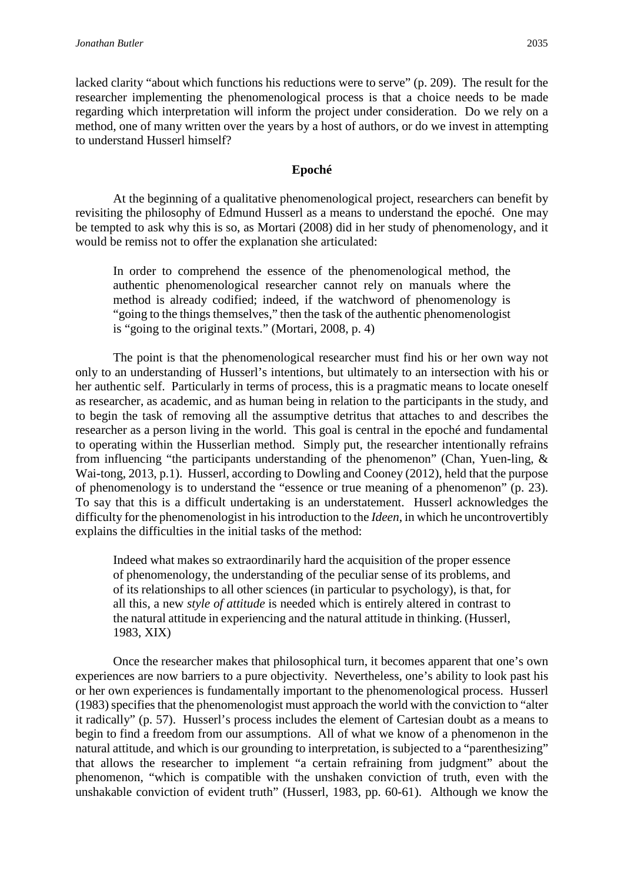lacked clarity "about which functions his reductions were to serve" (p. 209). The result for the researcher implementing the phenomenological process is that a choice needs to be made regarding which interpretation will inform the project under consideration. Do we rely on a method, one of many written over the years by a host of authors, or do we invest in attempting to understand Husserl himself?

#### **Epoché**

At the beginning of a qualitative phenomenological project, researchers can benefit by revisiting the philosophy of Edmund Husserl as a means to understand the epoché. One may be tempted to ask why this is so, as Mortari (2008) did in her study of phenomenology, and it would be remiss not to offer the explanation she articulated:

In order to comprehend the essence of the phenomenological method, the authentic phenomenological researcher cannot rely on manuals where the method is already codified; indeed, if the watchword of phenomenology is "going to the things themselves," then the task of the authentic phenomenologist is "going to the original texts." (Mortari, 2008, p. 4)

The point is that the phenomenological researcher must find his or her own way not only to an understanding of Husserl's intentions, but ultimately to an intersection with his or her authentic self. Particularly in terms of process, this is a pragmatic means to locate oneself as researcher, as academic, and as human being in relation to the participants in the study, and to begin the task of removing all the assumptive detritus that attaches to and describes the researcher as a person living in the world. This goal is central in the epoché and fundamental to operating within the Husserlian method. Simply put, the researcher intentionally refrains from influencing "the participants understanding of the phenomenon" (Chan, Yuen-ling, & Wai-tong, 2013, p.1). Husserl, according to Dowling and Cooney (2012), held that the purpose of phenomenology is to understand the "essence or true meaning of a phenomenon" (p. 23). To say that this is a difficult undertaking is an understatement. Husserl acknowledges the difficulty for the phenomenologist in his introduction to the *Ideen*, in which he uncontrovertibly explains the difficulties in the initial tasks of the method:

Indeed what makes so extraordinarily hard the acquisition of the proper essence of phenomenology, the understanding of the peculiar sense of its problems, and of its relationships to all other sciences (in particular to psychology), is that, for all this, a new *style of attitude* is needed which is entirely altered in contrast to the natural attitude in experiencing and the natural attitude in thinking. (Husserl, 1983, XIX)

Once the researcher makes that philosophical turn, it becomes apparent that one's own experiences are now barriers to a pure objectivity. Nevertheless, one's ability to look past his or her own experiences is fundamentally important to the phenomenological process. Husserl (1983) specifies that the phenomenologist must approach the world with the conviction to "alter it radically" (p. 57). Husserl's process includes the element of Cartesian doubt as a means to begin to find a freedom from our assumptions. All of what we know of a phenomenon in the natural attitude, and which is our grounding to interpretation, is subjected to a "parenthesizing" that allows the researcher to implement "a certain refraining from judgment" about the phenomenon, "which is compatible with the unshaken conviction of truth, even with the unshakable conviction of evident truth" (Husserl, 1983, pp. 60-61). Although we know the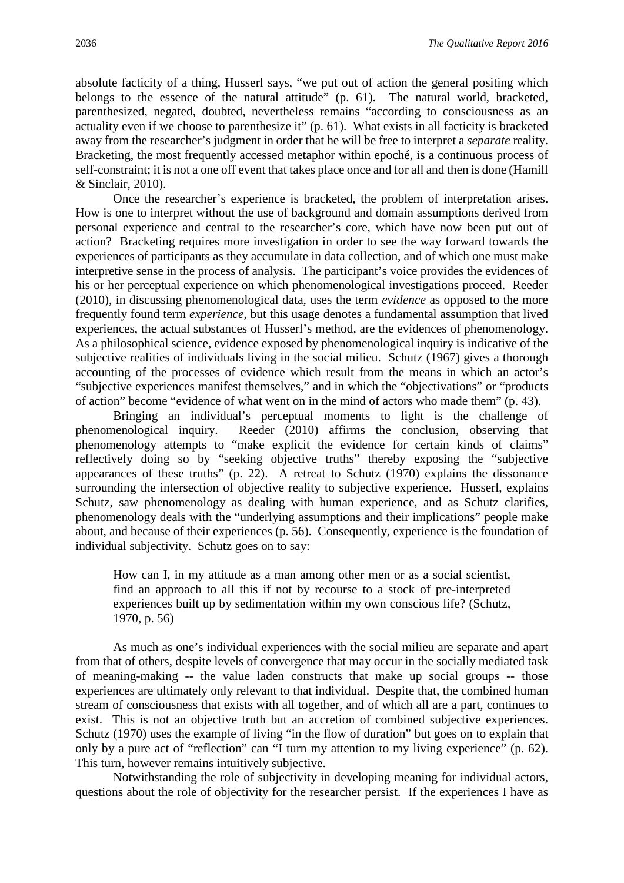absolute facticity of a thing, Husserl says, "we put out of action the general positing which belongs to the essence of the natural attitude" (p. 61). The natural world, bracketed, parenthesized, negated, doubted, nevertheless remains "according to consciousness as an actuality even if we choose to parenthesize it" (p. 61). What exists in all facticity is bracketed away from the researcher's judgment in order that he will be free to interpret a *separate* reality. Bracketing, the most frequently accessed metaphor within epoché, is a continuous process of self-constraint; it is not a one off event that takes place once and for all and then is done (Hamill & Sinclair, 2010).

Once the researcher's experience is bracketed, the problem of interpretation arises. How is one to interpret without the use of background and domain assumptions derived from personal experience and central to the researcher's core, which have now been put out of action? Bracketing requires more investigation in order to see the way forward towards the experiences of participants as they accumulate in data collection, and of which one must make interpretive sense in the process of analysis. The participant's voice provides the evidences of his or her perceptual experience on which phenomenological investigations proceed. Reeder (2010), in discussing phenomenological data, uses the term *evidence* as opposed to the more frequently found term *experience*, but this usage denotes a fundamental assumption that lived experiences, the actual substances of Husserl's method, are the evidences of phenomenology. As a philosophical science, evidence exposed by phenomenological inquiry is indicative of the subjective realities of individuals living in the social milieu. Schutz (1967) gives a thorough accounting of the processes of evidence which result from the means in which an actor's "subjective experiences manifest themselves," and in which the "objectivations" or "products of action" become "evidence of what went on in the mind of actors who made them" (p. 43).

Bringing an individual's perceptual moments to light is the challenge of phenomenological inquiry. Reeder (2010) affirms the conclusion, observing that phenomenology attempts to "make explicit the evidence for certain kinds of claims" reflectively doing so by "seeking objective truths" thereby exposing the "subjective appearances of these truths" (p. 22). A retreat to Schutz (1970) explains the dissonance surrounding the intersection of objective reality to subjective experience. Husserl, explains Schutz, saw phenomenology as dealing with human experience, and as Schutz clarifies, phenomenology deals with the "underlying assumptions and their implications" people make about, and because of their experiences (p. 56). Consequently, experience is the foundation of individual subjectivity. Schutz goes on to say:

How can I, in my attitude as a man among other men or as a social scientist, find an approach to all this if not by recourse to a stock of pre-interpreted experiences built up by sedimentation within my own conscious life? (Schutz, 1970, p. 56)

As much as one's individual experiences with the social milieu are separate and apart from that of others, despite levels of convergence that may occur in the socially mediated task of meaning-making -- the value laden constructs that make up social groups -- those experiences are ultimately only relevant to that individual. Despite that, the combined human stream of consciousness that exists with all together, and of which all are a part, continues to exist. This is not an objective truth but an accretion of combined subjective experiences. Schutz (1970) uses the example of living "in the flow of duration" but goes on to explain that only by a pure act of "reflection" can "I turn my attention to my living experience" (p. 62). This turn, however remains intuitively subjective.

Notwithstanding the role of subjectivity in developing meaning for individual actors, questions about the role of objectivity for the researcher persist. If the experiences I have as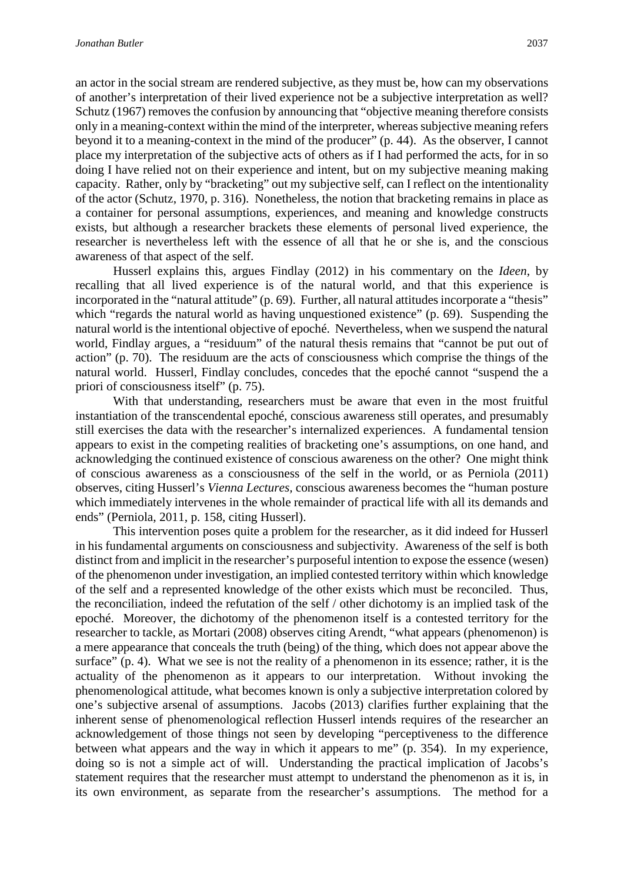an actor in the social stream are rendered subjective, as they must be, how can my observations of another's interpretation of their lived experience not be a subjective interpretation as well? Schutz (1967) removes the confusion by announcing that "objective meaning therefore consists only in a meaning-context within the mind of the interpreter, whereas subjective meaning refers beyond it to a meaning-context in the mind of the producer" (p. 44). As the observer, I cannot place my interpretation of the subjective acts of others as if I had performed the acts, for in so doing I have relied not on their experience and intent, but on my subjective meaning making capacity. Rather, only by "bracketing" out my subjective self, can I reflect on the intentionality of the actor (Schutz, 1970, p. 316). Nonetheless, the notion that bracketing remains in place as a container for personal assumptions, experiences, and meaning and knowledge constructs exists, but although a researcher brackets these elements of personal lived experience, the researcher is nevertheless left with the essence of all that he or she is, and the conscious awareness of that aspect of the self.

Husserl explains this, argues Findlay (2012) in his commentary on the *Ideen*, by recalling that all lived experience is of the natural world, and that this experience is incorporated in the "natural attitude" (p. 69). Further, all natural attitudes incorporate a "thesis" which "regards the natural world as having unquestioned existence" (p. 69). Suspending the natural world is the intentional objective of epoché. Nevertheless, when we suspend the natural world, Findlay argues, a "residuum" of the natural thesis remains that "cannot be put out of action" (p. 70). The residuum are the acts of consciousness which comprise the things of the natural world. Husserl, Findlay concludes, concedes that the epoché cannot "suspend the a priori of consciousness itself" (p. 75).

With that understanding, researchers must be aware that even in the most fruitful instantiation of the transcendental epoché, conscious awareness still operates, and presumably still exercises the data with the researcher's internalized experiences. A fundamental tension appears to exist in the competing realities of bracketing one's assumptions, on one hand, and acknowledging the continued existence of conscious awareness on the other? One might think of conscious awareness as a consciousness of the self in the world, or as Perniola (2011) observes, citing Husserl's *Vienna Lectures,* conscious awareness becomes the "human posture which immediately intervenes in the whole remainder of practical life with all its demands and ends" (Perniola, 2011, p. 158, citing Husserl).

This intervention poses quite a problem for the researcher, as it did indeed for Husserl in his fundamental arguments on consciousness and subjectivity. Awareness of the self is both distinct from and implicit in the researcher's purposeful intention to expose the essence (wesen) of the phenomenon under investigation, an implied contested territory within which knowledge of the self and a represented knowledge of the other exists which must be reconciled. Thus, the reconciliation, indeed the refutation of the self / other dichotomy is an implied task of the epoché. Moreover, the dichotomy of the phenomenon itself is a contested territory for the researcher to tackle, as Mortari (2008) observes citing Arendt, "what appears (phenomenon) is a mere appearance that conceals the truth (being) of the thing, which does not appear above the surface" (p. 4). What we see is not the reality of a phenomenon in its essence; rather, it is the actuality of the phenomenon as it appears to our interpretation. Without invoking the phenomenological attitude, what becomes known is only a subjective interpretation colored by one's subjective arsenal of assumptions. Jacobs (2013) clarifies further explaining that the inherent sense of phenomenological reflection Husserl intends requires of the researcher an acknowledgement of those things not seen by developing "perceptiveness to the difference between what appears and the way in which it appears to me" (p. 354). In my experience, doing so is not a simple act of will. Understanding the practical implication of Jacobs's statement requires that the researcher must attempt to understand the phenomenon as it is, in its own environment, as separate from the researcher's assumptions. The method for a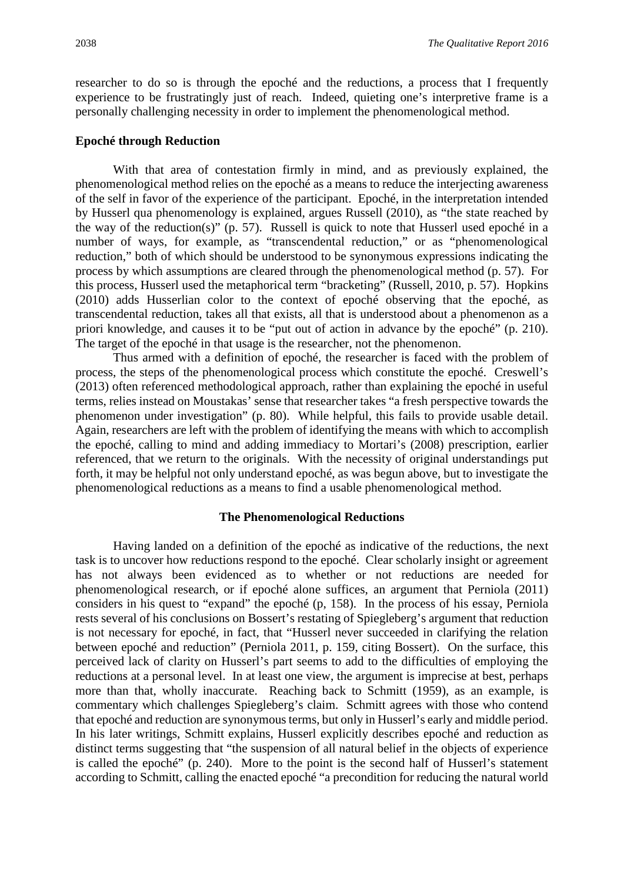researcher to do so is through the epoché and the reductions, a process that I frequently experience to be frustratingly just of reach. Indeed, quieting one's interpretive frame is a personally challenging necessity in order to implement the phenomenological method.

#### **Epoché through Reduction**

With that area of contestation firmly in mind, and as previously explained, the phenomenological method relies on the epoché as a means to reduce the interjecting awareness of the self in favor of the experience of the participant. Epoché, in the interpretation intended by Husserl qua phenomenology is explained, argues Russell (2010), as "the state reached by the way of the reduction(s)" (p. 57). Russell is quick to note that Husserl used epoché in a number of ways, for example, as "transcendental reduction," or as "phenomenological reduction," both of which should be understood to be synonymous expressions indicating the process by which assumptions are cleared through the phenomenological method (p. 57). For this process, Husserl used the metaphorical term "bracketing" (Russell, 2010, p. 57). Hopkins (2010) adds Husserlian color to the context of epoché observing that the epoché, as transcendental reduction, takes all that exists, all that is understood about a phenomenon as a priori knowledge, and causes it to be "put out of action in advance by the epoché" (p. 210). The target of the epoché in that usage is the researcher, not the phenomenon.

Thus armed with a definition of epoché, the researcher is faced with the problem of process, the steps of the phenomenological process which constitute the epoché. Creswell's (2013) often referenced methodological approach, rather than explaining the epoché in useful terms, relies instead on Moustakas' sense that researcher takes "a fresh perspective towards the phenomenon under investigation" (p. 80). While helpful, this fails to provide usable detail. Again, researchers are left with the problem of identifying the means with which to accomplish the epoché, calling to mind and adding immediacy to Mortari's (2008) prescription, earlier referenced, that we return to the originals. With the necessity of original understandings put forth, it may be helpful not only understand epoché, as was begun above, but to investigate the phenomenological reductions as a means to find a usable phenomenological method.

#### **The Phenomenological Reductions**

Having landed on a definition of the epoché as indicative of the reductions, the next task is to uncover how reductions respond to the epoché. Clear scholarly insight or agreement has not always been evidenced as to whether or not reductions are needed for phenomenological research, or if epoché alone suffices, an argument that Perniola (2011) considers in his quest to "expand" the epoché (p, 158). In the process of his essay, Perniola rests several of his conclusions on Bossert's restating of Spiegleberg's argument that reduction is not necessary for epoché, in fact, that "Husserl never succeeded in clarifying the relation between epoché and reduction" (Perniola 2011, p. 159, citing Bossert). On the surface, this perceived lack of clarity on Husserl's part seems to add to the difficulties of employing the reductions at a personal level. In at least one view, the argument is imprecise at best, perhaps more than that, wholly inaccurate. Reaching back to Schmitt (1959), as an example, is commentary which challenges Spiegleberg's claim. Schmitt agrees with those who contend that epoché and reduction are synonymous terms, but only in Husserl's early and middle period. In his later writings, Schmitt explains, Husserl explicitly describes epoché and reduction as distinct terms suggesting that "the suspension of all natural belief in the objects of experience is called the epoché" (p. 240). More to the point is the second half of Husserl's statement according to Schmitt, calling the enacted epoché "a precondition for reducing the natural world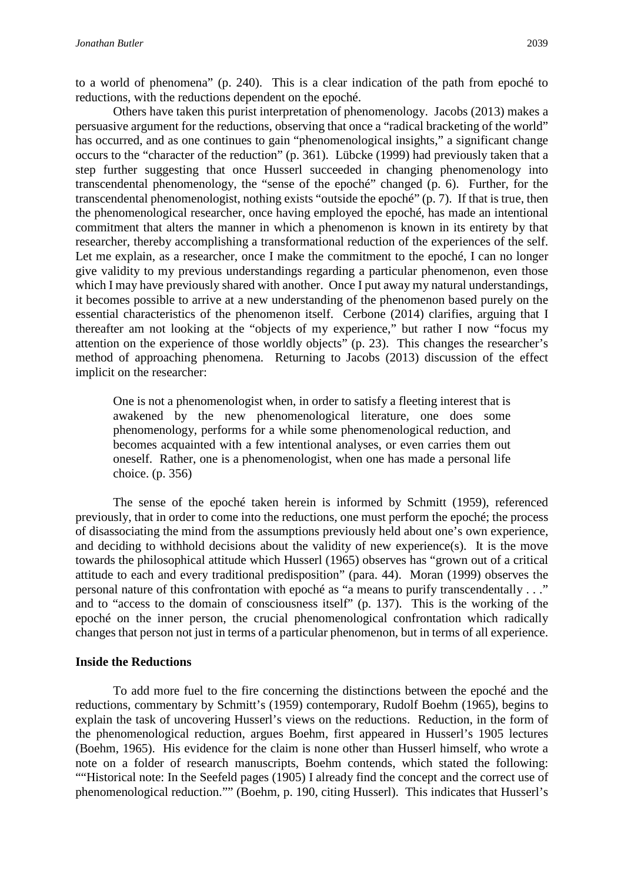to a world of phenomena" (p. 240). This is a clear indication of the path from epoché to reductions, with the reductions dependent on the epoché.

Others have taken this purist interpretation of phenomenology. Jacobs (2013) makes a persuasive argument for the reductions, observing that once a "radical bracketing of the world" has occurred, and as one continues to gain "phenomenological insights," a significant change occurs to the "character of the reduction" (p. 361). Lübcke (1999) had previously taken that a step further suggesting that once Husserl succeeded in changing phenomenology into transcendental phenomenology, the "sense of the epoché" changed (p. 6). Further, for the transcendental phenomenologist, nothing exists "outside the epoché" (p. 7). If that is true, then the phenomenological researcher, once having employed the epoché, has made an intentional commitment that alters the manner in which a phenomenon is known in its entirety by that researcher, thereby accomplishing a transformational reduction of the experiences of the self. Let me explain, as a researcher, once I make the commitment to the epoché, I can no longer give validity to my previous understandings regarding a particular phenomenon, even those which I may have previously shared with another. Once I put away my natural understandings, it becomes possible to arrive at a new understanding of the phenomenon based purely on the essential characteristics of the phenomenon itself. Cerbone (2014) clarifies, arguing that I thereafter am not looking at the "objects of my experience," but rather I now "focus my attention on the experience of those worldly objects" (p. 23). This changes the researcher's method of approaching phenomena. Returning to Jacobs (2013) discussion of the effect implicit on the researcher:

One is not a phenomenologist when, in order to satisfy a fleeting interest that is awakened by the new phenomenological literature, one does some phenomenology, performs for a while some phenomenological reduction, and becomes acquainted with a few intentional analyses, or even carries them out oneself. Rather, one is a phenomenologist, when one has made a personal life choice. (p. 356)

The sense of the epoché taken herein is informed by Schmitt (1959), referenced previously, that in order to come into the reductions, one must perform the epoché; the process of disassociating the mind from the assumptions previously held about one's own experience, and deciding to withhold decisions about the validity of new experience(s). It is the move towards the philosophical attitude which Husserl (1965) observes has "grown out of a critical attitude to each and every traditional predisposition" (para. 44). Moran (1999) observes the personal nature of this confrontation with epoché as "a means to purify transcendentally . . ." and to "access to the domain of consciousness itself" (p. 137). This is the working of the epoché on the inner person, the crucial phenomenological confrontation which radically changes that person not just in terms of a particular phenomenon, but in terms of all experience.

#### **Inside the Reductions**

To add more fuel to the fire concerning the distinctions between the epoché and the reductions, commentary by Schmitt's (1959) contemporary, Rudolf Boehm (1965), begins to explain the task of uncovering Husserl's views on the reductions. Reduction, in the form of the phenomenological reduction, argues Boehm, first appeared in Husserl's 1905 lectures (Boehm, 1965). His evidence for the claim is none other than Husserl himself, who wrote a note on a folder of research manuscripts, Boehm contends, which stated the following: ""Historical note: In the Seefeld pages (1905) I already find the concept and the correct use of phenomenological reduction."" (Boehm, p. 190, citing Husserl). This indicates that Husserl's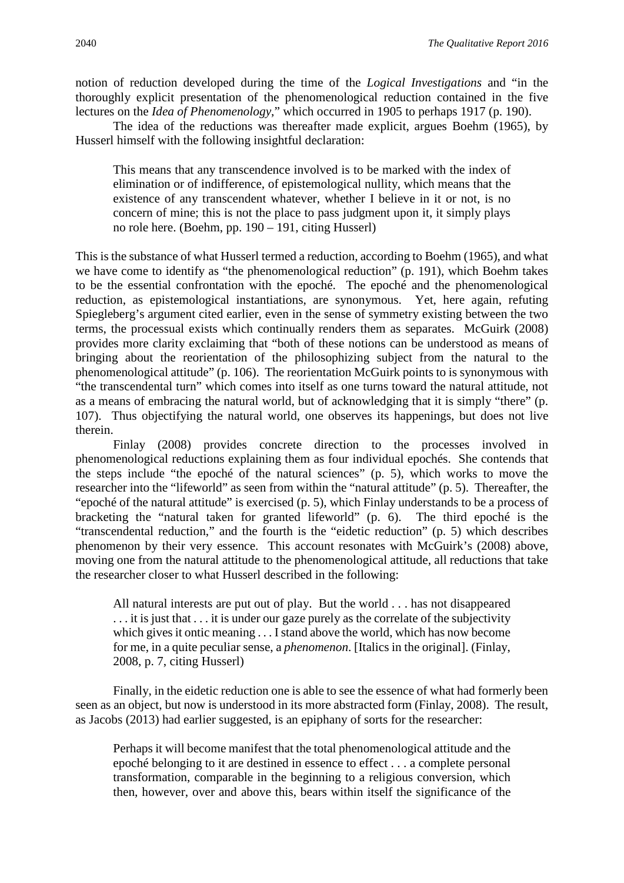notion of reduction developed during the time of the *Logical Investigations* and "in the thoroughly explicit presentation of the phenomenological reduction contained in the five lectures on the *Idea of Phenomenology*," which occurred in 1905 to perhaps 1917 (p. 190).

The idea of the reductions was thereafter made explicit, argues Boehm (1965), by Husserl himself with the following insightful declaration:

This means that any transcendence involved is to be marked with the index of elimination or of indifference, of epistemological nullity, which means that the existence of any transcendent whatever, whether I believe in it or not, is no concern of mine; this is not the place to pass judgment upon it, it simply plays no role here. (Boehm, pp. 190 – 191, citing Husserl)

This is the substance of what Husserl termed a reduction, according to Boehm (1965), and what we have come to identify as "the phenomenological reduction" (p. 191), which Boehm takes to be the essential confrontation with the epoché. The epoché and the phenomenological reduction, as epistemological instantiations, are synonymous. Yet, here again, refuting Spiegleberg's argument cited earlier, even in the sense of symmetry existing between the two terms, the processual exists which continually renders them as separates. McGuirk (2008) provides more clarity exclaiming that "both of these notions can be understood as means of bringing about the reorientation of the philosophizing subject from the natural to the phenomenological attitude" (p. 106). The reorientation McGuirk points to is synonymous with "the transcendental turn" which comes into itself as one turns toward the natural attitude, not as a means of embracing the natural world, but of acknowledging that it is simply "there" (p. 107). Thus objectifying the natural world, one observes its happenings, but does not live therein.

Finlay (2008) provides concrete direction to the processes involved in phenomenological reductions explaining them as four individual epochés. She contends that the steps include "the epoché of the natural sciences" (p. 5), which works to move the researcher into the "lifeworld" as seen from within the "natural attitude" (p. 5). Thereafter, the "epoché of the natural attitude" is exercised (p. 5), which Finlay understands to be a process of bracketing the "natural taken for granted lifeworld" (p. 6). The third epoché is the "transcendental reduction," and the fourth is the "eidetic reduction" (p. 5) which describes phenomenon by their very essence. This account resonates with McGuirk's (2008) above, moving one from the natural attitude to the phenomenological attitude, all reductions that take the researcher closer to what Husserl described in the following:

All natural interests are put out of play. But the world . . . has not disappeared . . . it is just that . . . it is under our gaze purely as the correlate of the subjectivity which gives it ontic meaning . . . I stand above the world, which has now become for me, in a quite peculiar sense, a *phenomenon*. [Italics in the original]. (Finlay, 2008, p. 7, citing Husserl)

Finally, in the eidetic reduction one is able to see the essence of what had formerly been seen as an object, but now is understood in its more abstracted form (Finlay, 2008). The result, as Jacobs (2013) had earlier suggested, is an epiphany of sorts for the researcher:

Perhaps it will become manifest that the total phenomenological attitude and the epoché belonging to it are destined in essence to effect . . . a complete personal transformation, comparable in the beginning to a religious conversion, which then, however, over and above this, bears within itself the significance of the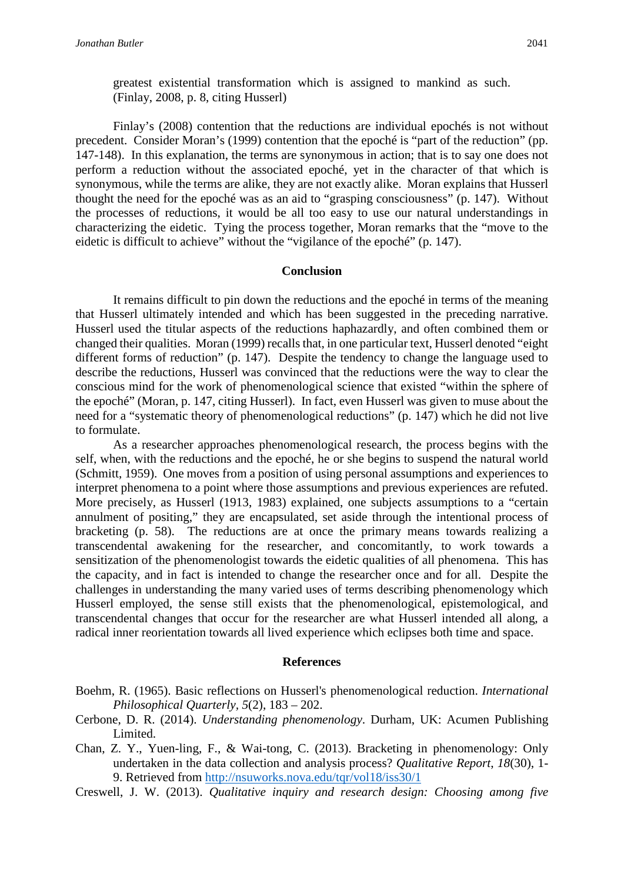greatest existential transformation which is assigned to mankind as such. (Finlay, 2008, p. 8, citing Husserl)

Finlay's (2008) contention that the reductions are individual epochés is not without precedent. Consider Moran's (1999) contention that the epoché is "part of the reduction" (pp. 147-148). In this explanation, the terms are synonymous in action; that is to say one does not perform a reduction without the associated epoché, yet in the character of that which is synonymous, while the terms are alike, they are not exactly alike. Moran explains that Husserl thought the need for the epoché was as an aid to "grasping consciousness" (p. 147). Without the processes of reductions, it would be all too easy to use our natural understandings in characterizing the eidetic. Tying the process together, Moran remarks that the "move to the eidetic is difficult to achieve" without the "vigilance of the epoché" (p. 147).

#### **Conclusion**

It remains difficult to pin down the reductions and the epoché in terms of the meaning that Husserl ultimately intended and which has been suggested in the preceding narrative. Husserl used the titular aspects of the reductions haphazardly, and often combined them or changed their qualities. Moran (1999) recalls that, in one particular text, Husserl denoted "eight different forms of reduction" (p. 147). Despite the tendency to change the language used to describe the reductions, Husserl was convinced that the reductions were the way to clear the conscious mind for the work of phenomenological science that existed "within the sphere of the epoché" (Moran, p. 147, citing Husserl). In fact, even Husserl was given to muse about the need for a "systematic theory of phenomenological reductions" (p. 147) which he did not live to formulate.

As a researcher approaches phenomenological research, the process begins with the self, when, with the reductions and the epoché, he or she begins to suspend the natural world (Schmitt, 1959). One moves from a position of using personal assumptions and experiences to interpret phenomena to a point where those assumptions and previous experiences are refuted. More precisely, as Husserl (1913, 1983) explained, one subjects assumptions to a "certain annulment of positing," they are encapsulated, set aside through the intentional process of bracketing (p. 58). The reductions are at once the primary means towards realizing a transcendental awakening for the researcher, and concomitantly, to work towards a sensitization of the phenomenologist towards the eidetic qualities of all phenomena. This has the capacity, and in fact is intended to change the researcher once and for all. Despite the challenges in understanding the many varied uses of terms describing phenomenology which Husserl employed, the sense still exists that the phenomenological, epistemological, and transcendental changes that occur for the researcher are what Husserl intended all along, a radical inner reorientation towards all lived experience which eclipses both time and space.

#### **References**

- Boehm, R. (1965). Basic reflections on Husserl's phenomenological reduction. *International Philosophical Quarterly, 5*(2), 183 – 202.
- Cerbone, D. R. (2014). *Understanding phenomenology*. Durham, UK: Acumen Publishing Limited.
- Chan, Z. Y., Yuen-ling, F., & Wai-tong, C. (2013). Bracketing in phenomenology: Only undertaken in the data collection and analysis process? *Qualitative Report*, *18*(30), 1- 9. Retrieved from<http://nsuworks.nova.edu/tqr/vol18/iss30/1>
- Creswell, J. W. (2013). *Qualitative inquiry and research design: Choosing among five*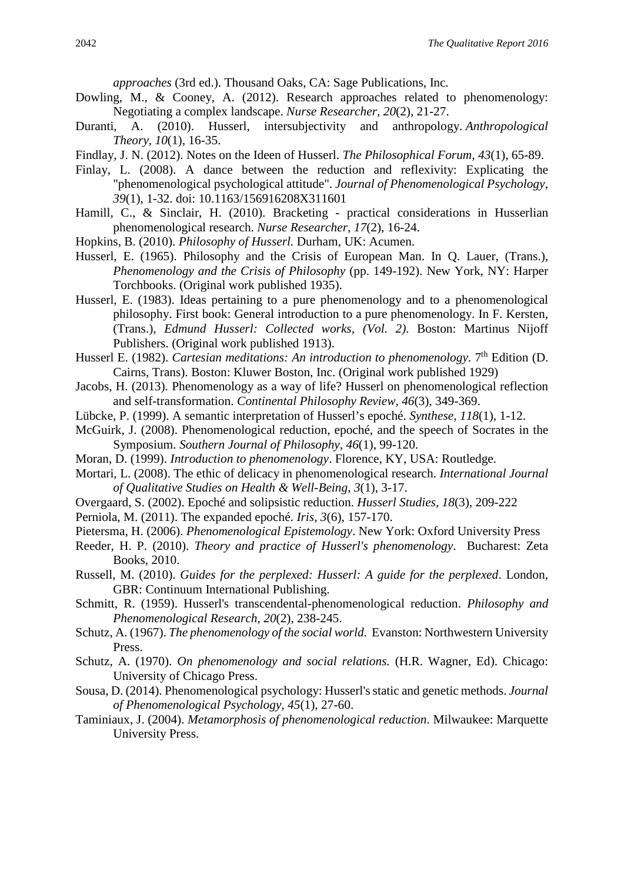*approaches* (3rd ed.). Thousand Oaks, CA: Sage Publications, Inc.

- Dowling, M., & Cooney, A. (2012). Research approaches related to phenomenology: Negotiating a complex landscape. *Nurse Researcher, 20*(2), 21-27.
- Duranti, A. (2010). Husserl, intersubjectivity and anthropology. *Anthropological Theory, 10*(1), 16-35.
- Findlay, J. N. (2012). Notes on the Ideen of Husserl. *The Philosophical Forum, 43*(1), 65-89.
- Finlay, L. (2008). A dance between the reduction and reflexivity: Explicating the "phenomenological psychological attitude". *Journal of Phenomenological Psychology*, *39*(1), 1-32. doi: 10.1163/156916208X311601
- Hamill, C., & Sinclair, H. (2010). Bracketing practical considerations in Husserlian phenomenological research. *Nurse Researcher, 17*(2), 16-24.
- Hopkins, B. (2010). *Philosophy of Husserl.* Durham, UK: Acumen.
- Husserl, E. (1965). Philosophy and the Crisis of European Man. In Q. Lauer, (Trans.), *Phenomenology and the Crisis of Philosophy* (pp. 149-192). New York, NY: Harper Torchbooks. (Original work published 1935).
- Husserl, E. (1983). Ideas pertaining to a pure phenomenology and to a phenomenological philosophy. First book: General introduction to a pure phenomenology. In F. Kersten, (Trans.), *Edmund Husserl: Collected works, (Vol. 2)*. Boston: Martinus Nijoff Publishers. (Original work published 1913).
- Husserl E. (1982). *Cartesian meditations: An introduction to phenomenology*. 7<sup>th</sup> Edition (D. Cairns, Trans). Boston: Kluwer Boston, Inc. (Original work published 1929)
- Jacobs, H. (2013). Phenomenology as a way of life? Husserl on phenomenological reflection and self-transformation. *Continental Philosophy Review, 46*(3), 349-369.
- Lübcke, P. (1999). A semantic interpretation of Husserl's epoché. *Synthese, 118*(1), 1-12.
- McGuirk, J. (2008). Phenomenological reduction, epoché, and the speech of Socrates in the Symposium. *Southern Journal of Philosophy*, *46*(1), 99-120.
- Moran, D. (1999). *Introduction to phenomenology*. Florence, KY, USA: Routledge.
- Mortari, L. (2008). The ethic of delicacy in phenomenological research. *International Journal of Qualitative Studies on Health & Well-Being*, *3*(1), 3-17.
- Overgaard, S. (2002). Epoché and solipsistic reduction. *Husserl Studies, 18*(3), 209-222
- Perniola, M. (2011). The expanded epoché. *Iris, 3*(6), 157-170.
- Pietersma, H. (2006). *Phenomenological Epistemology*. New York: Oxford University Press
- Reeder, H. P. (2010). *Theory and practice of Husserl's phenomenology*. Bucharest: Zeta Books, 2010.
- Russell, M. (2010). *Guides for the perplexed: Husserl: A guide for the perplexed*. London, GBR: Continuum International Publishing.
- Schmitt, R. (1959). Husserl's transcendental-phenomenological reduction. *Philosophy and Phenomenological Research, 20*(2), 238-245.
- Schutz, A. (1967). *The phenomenology of the social world*. Evanston: Northwestern University Press.
- Schutz, A. (1970). *On phenomenology and social relations.* (H.R. Wagner, Ed). Chicago: University of Chicago Press.
- Sousa, D. (2014). Phenomenological psychology: Husserl's static and genetic methods. *Journal of Phenomenological Psychology*, *45*(1), 27-60.
- Taminiaux, J. (2004). *Metamorphosis of phenomenological reduction*. Milwaukee: Marquette University Press.